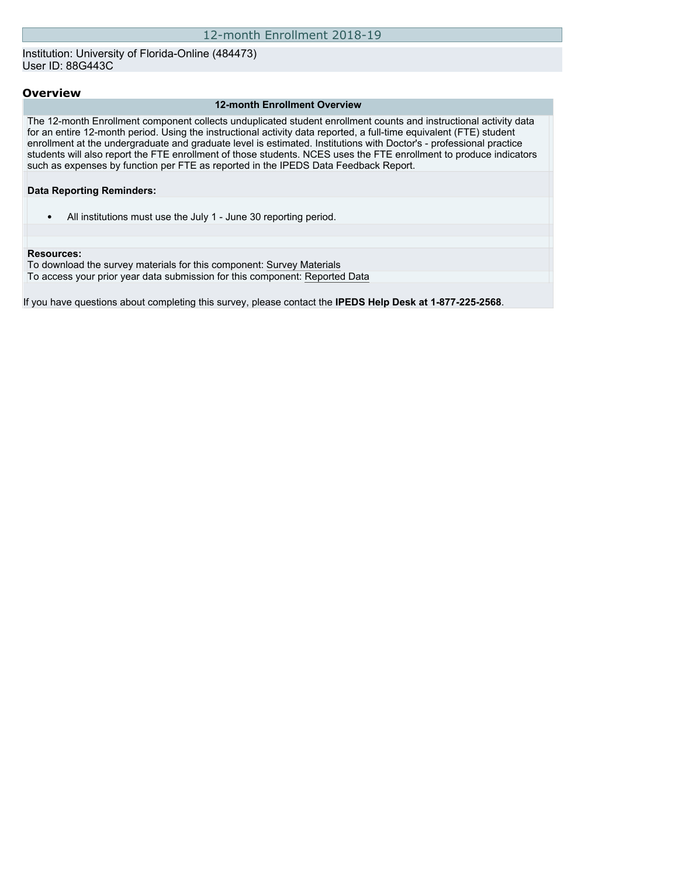### Institution: University of Florida-Online (484473) User ID: 88G443C

### **Overview**

#### **12-month Enrollment Overview**

The 12-month Enrollment component collects unduplicated student enrollment counts and instructional activity data for an entire 12-month period. Using the instructional activity data reported, a full-time equivalent (FTE) student enrollment at the undergraduate and graduate level is estimated. Institutions with Doctor's - professional practice students will also report the FTE enrollment of those students. NCES uses the FTE enrollment to produce indicators such as expenses by function per FTE as reported in the IPEDS Data Feedback Report.

### **Data Reporting Reminders:**

• All institutions must use the July 1 - June 30 reporting period.

#### **Resources:**

To download the survey materials for this component: [Survey Materials](https://surveys.nces.ed.gov/ipeds/VisIndex.aspx) To access your prior year data submission for this component: [Reported Data](http://192.168.102.153/ipeds/PriorYearDataRedirect.aspx?survey_id=9)

If you have questions about completing this survey, please contact the **IPEDS Help Desk at 1-877-225-2568**.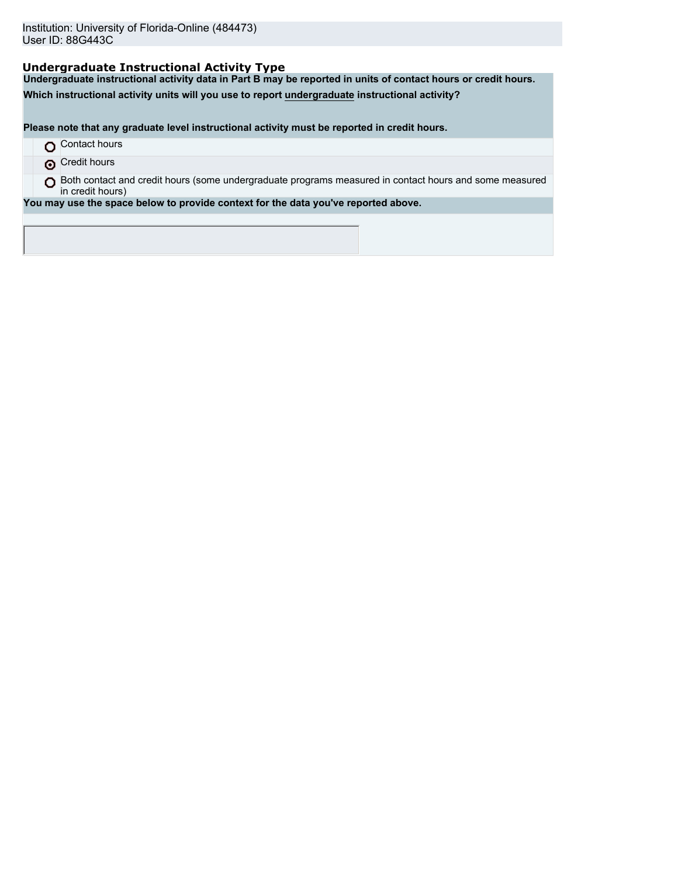## **Undergraduate Instructional Activity Type**

**Undergraduate instructional activity data in Part B may be reported in units of contact hours or credit hours.**

**Which instructional activity units will you use to report undergraduate instructional activity?**

**Please note that any graduate level instructional activity must be reported in credit hours.**

- **O** Contact hours
- **O** Credit hours
- O Both contact and credit hours (some undergraduate programs measured in contact hours and some measured in credit hours)

**You may use the space below to provide context for the data you've reported above.**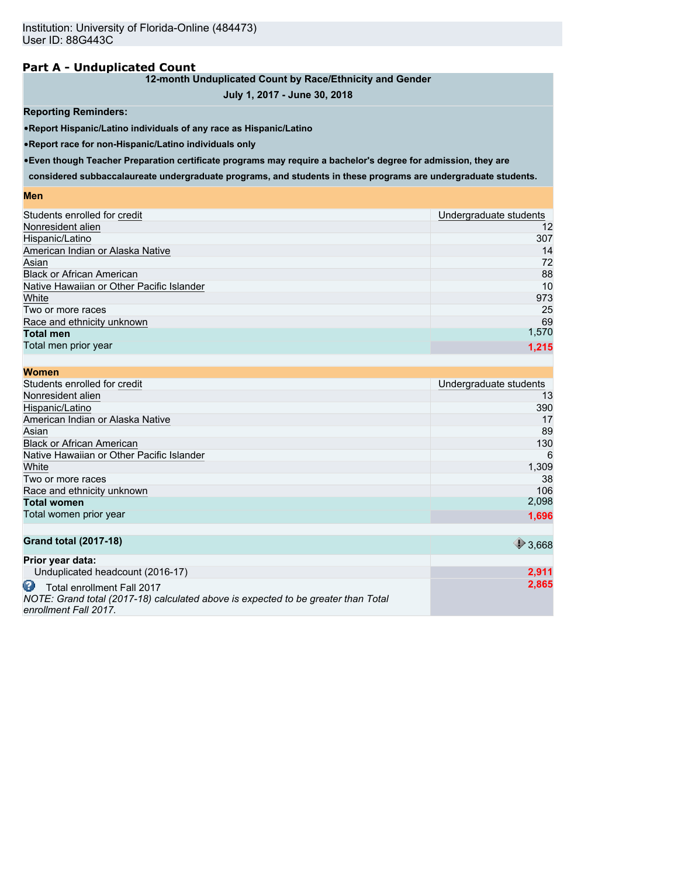## **Part A - Unduplicated Count**

## **12-month Unduplicated Count by Race/Ethnicity and Gender**

## **July 1, 2017 - June 30, 2018**

### **Reporting Reminders:**

•**Report Hispanic/Latino individuals of any race as Hispanic/Latino**

•**Report race for non-Hispanic/Latino individuals only**

•**Even though Teacher Preparation certificate programs may require a bachelor's degree for admission, they are**

**considered subbaccalaureate undergraduate programs, and students in these programs are undergraduate students.**

#### **Men**

| Students enrolled for credit              | Undergraduate students |
|-------------------------------------------|------------------------|
| Nonresident alien                         | 12                     |
| Hispanic/Latino                           | 307                    |
| American Indian or Alaska Native          | 14                     |
| Asian                                     | 72                     |
| <b>Black or African American</b>          | 88                     |
| Native Hawaiian or Other Pacific Islander | 10                     |
| White                                     | 973                    |
| Two or more races                         | 25                     |
| Race and ethnicity unknown                | 69                     |
| <b>Total men</b>                          | 1,570                  |
| Total men prior year                      | 1,215                  |
|                                           |                        |

| <b>Women</b>                              |                        |
|-------------------------------------------|------------------------|
| Students enrolled for credit              | Undergraduate students |
| Nonresident alien                         | 13                     |
| Hispanic/Latino                           | 390                    |
| American Indian or Alaska Native          | 17                     |
| Asian                                     | 89                     |
| <b>Black or African American</b>          | 130                    |
| Native Hawaiian or Other Pacific Islander | 6                      |
| White                                     | 1,309                  |
| Two or more races                         | 38                     |
| Race and ethnicity unknown                | 106                    |
| <b>Total women</b>                        | 2,098                  |
| Total women prior year                    | 1,696                  |
| <b>Grand total (2017-18)</b>              | $*3,668$               |
| Prior year data:                          |                        |
| Unduplicated headcount (2016-17)          | 2,911                  |
| m<br>Total oprollmant Eall 2017           | 2.865                  |

**Total enrollment Fall 2017** *NOTE: Grand total (2017-18) calculated above is expected to be greater than Total enrollment Fall 2017.*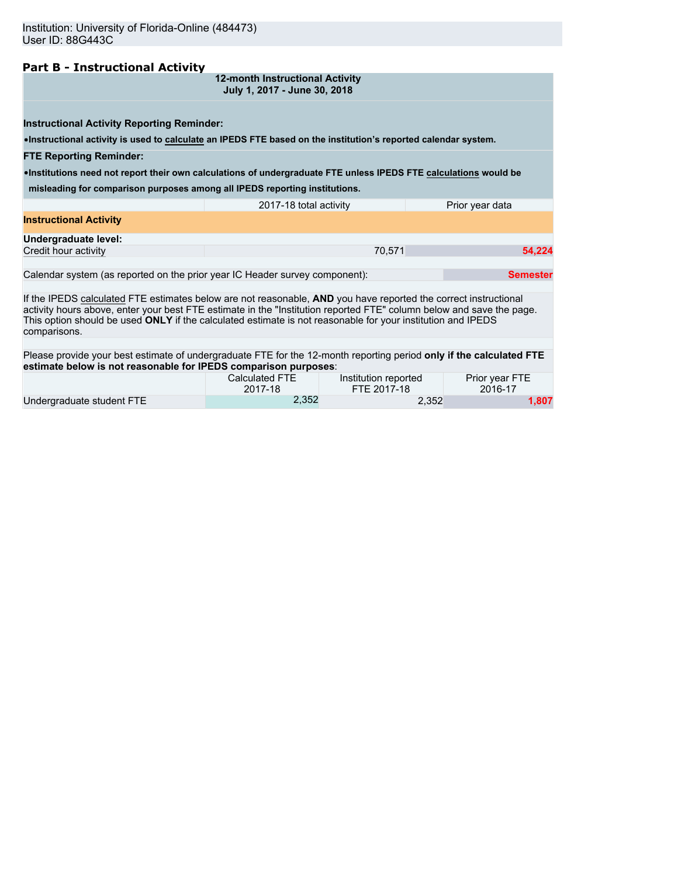## **Part B - Instructional Activity**

| 12-month Instructional Activity |  |  |
|---------------------------------|--|--|
| July 1, 2017 - June 30, 2018    |  |  |

**Instructional Activity Reporting Reminder:**

•**Instructional activity is used to calculate an IPEDS FTE based on the institution's reported calendar system.**

#### **FTE Reporting Reminder:**

•**Institutions need not report their own calculations of undergraduate FTE unless IPEDS FTE calculations would be**

**misleading for comparison purposes among all IPEDS reporting institutions.**

|                               | 2017-18 total activity | Prior year data |
|-------------------------------|------------------------|-----------------|
| <b>Instructional Activity</b> |                        |                 |
| Undergraduate level:          |                        |                 |
| Credit hour activity          | 70.571                 | 54.224          |
|                               |                        |                 |

Calendar system (as reported on the prior year IC Header survey component): **Semester Semester** 

If the IPEDS calculated FTE estimates below are not reasonable, **AND** you have reported the correct instructional activity hours above, enter your best FTE estimate in the "Institution reported FTE" column below and save the page. This option should be used **ONLY** if the calculated estimate is not reasonable for your institution and IPEDS comparisons.

Please provide your best estimate of undergraduate FTE for the 12-month reporting period **only if the calculated FTE estimate below is not reasonable for IPEDS comparison purposes**:

|                           | Calculated FTE | Institution reported | Prior year FTE |
|---------------------------|----------------|----------------------|----------------|
|                           | 2017-18        | FTE 2017-18          | 2016-17        |
| Undergraduate student FTE | 2.352          | 2,352                | 1,807          |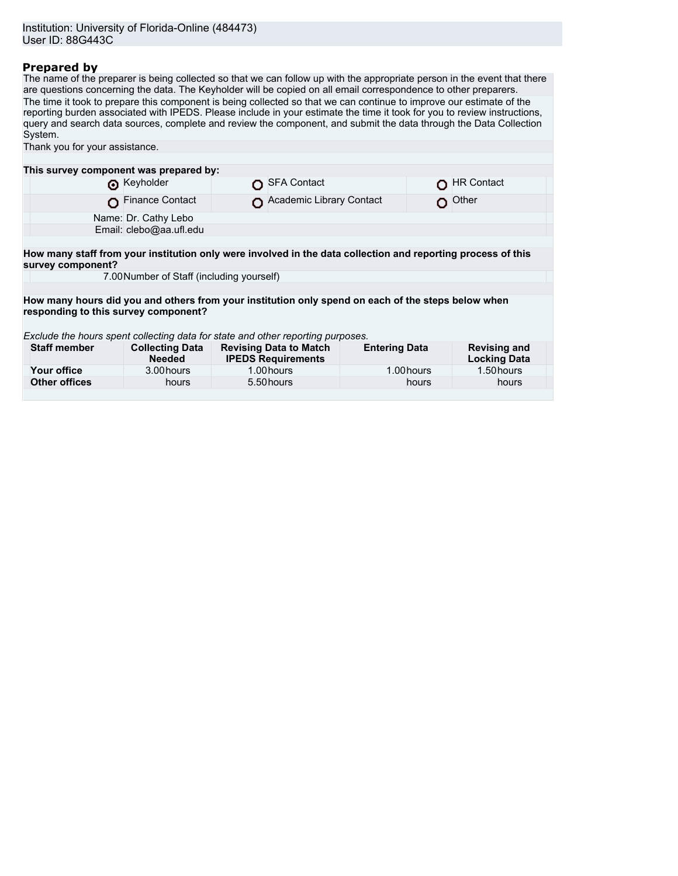## **Prepared by**

The name of the preparer is being collected so that we can follow up with the appropriate person in the event that there are questions concerning the data. The Keyholder will be copied on all email correspondence to other preparers. The time it took to prepare this component is being collected so that we can continue to improve our estimate of the reporting burden associated with IPEDS. Please include in your estimate the time it took for you to review instructions, query and search data sources, complete and review the component, and submit the data through the Data Collection System. Thank you for your assistance.

| This survey component was prepared by:                                                                       |                                           |  |                                                            |                      |  |                                            |
|--------------------------------------------------------------------------------------------------------------|-------------------------------------------|--|------------------------------------------------------------|----------------------|--|--------------------------------------------|
|                                                                                                              | Reyholder                                 |  | <b>SFA Contact</b>                                         |                      |  | <b>HR Contact</b>                          |
|                                                                                                              | <b>Finance Contact</b>                    |  | Academic Library Contact                                   |                      |  | Other                                      |
|                                                                                                              | Name: Dr. Cathy Lebo                      |  |                                                            |                      |  |                                            |
|                                                                                                              | Email: clebo@aa.ufl.edu                   |  |                                                            |                      |  |                                            |
|                                                                                                              |                                           |  |                                                            |                      |  |                                            |
| How many staff from your institution only were involved in the data collection and reporting process of this |                                           |  |                                                            |                      |  |                                            |
| survey component?                                                                                            |                                           |  |                                                            |                      |  |                                            |
|                                                                                                              | 7.00 Number of Staff (including yourself) |  |                                                            |                      |  |                                            |
|                                                                                                              |                                           |  |                                                            |                      |  |                                            |
| How many hours did you and others from your institution only spend on each of the steps below when           |                                           |  |                                                            |                      |  |                                            |
| responding to this survey component?                                                                         |                                           |  |                                                            |                      |  |                                            |
| Exclude the hours spent collecting data for state and other reporting purposes.                              |                                           |  |                                                            |                      |  |                                            |
| <b>Staff member</b>                                                                                          | <b>Collecting Data</b><br><b>Needed</b>   |  | <b>Revising Data to Match</b><br><b>IPEDS Requirements</b> | <b>Entering Data</b> |  | <b>Revising and</b><br><b>Locking Data</b> |
| Your office                                                                                                  | 3.00 hours                                |  | 1.00 hours                                                 | 1.00 hours           |  | 1.50 hours                                 |
| <b>Other offices</b>                                                                                         | hours                                     |  | 5.50 hours                                                 | hours                |  | hours                                      |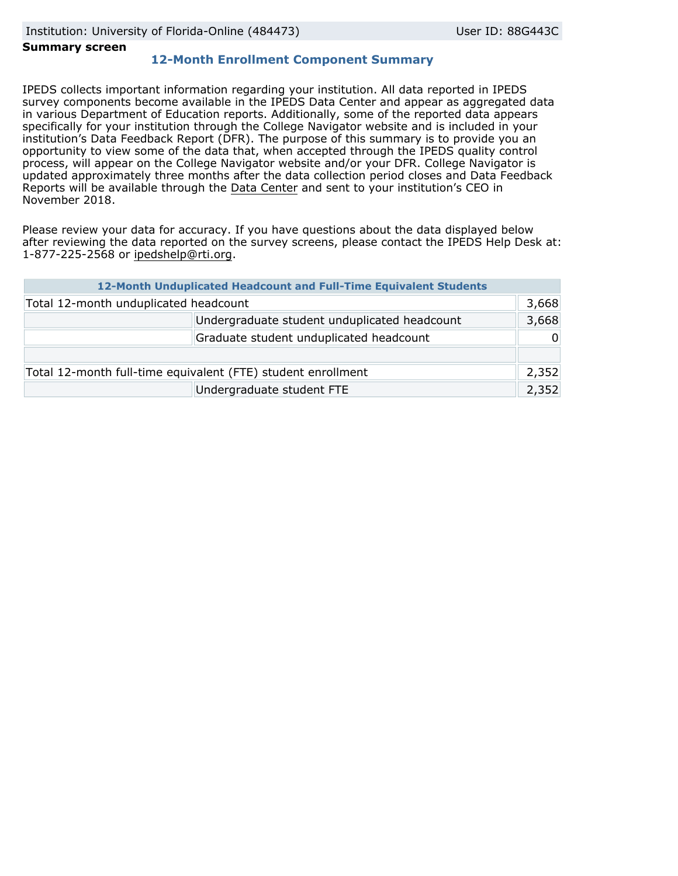### **Summary screen**

## **12-Month Enrollment Component Summary**

IPEDS collects important information regarding your institution. All data reported in IPEDS survey components become available in the IPEDS Data Center and appear as aggregated data in various Department of Education reports. Additionally, some of the reported data appears specifically for your institution through the College Navigator website and is included in your institution's Data Feedback Report (DFR). The purpose of this summary is to provide you an opportunity to view some of the data that, when accepted through the IPEDS quality control process, will appear on the College Navigator website and/or your DFR. College Navigator is updated approximately three months after the data collection period closes and Data Feedback Reports will be available through the [Data Center](https://nces.ed.gov/ipeds/use-the-data) and sent to your institution's CEO in November 2018.

Please review your data for accuracy. If you have questions about the data displayed below after reviewing the data reported on the survey screens, please contact the IPEDS Help Desk at: 1-877-225-2568 or ipedshelp@rti.org.

| 12-Month Unduplicated Headcount and Full-Time Equivalent Students |  |          |  |  |
|-------------------------------------------------------------------|--|----------|--|--|
| Total 12-month unduplicated headcount                             |  |          |  |  |
| Undergraduate student unduplicated headcount                      |  |          |  |  |
| Graduate student unduplicated headcount                           |  | $\Omega$ |  |  |
|                                                                   |  |          |  |  |
| Total 12-month full-time equivalent (FTE) student enrollment      |  |          |  |  |
| Undergraduate student FTE                                         |  |          |  |  |